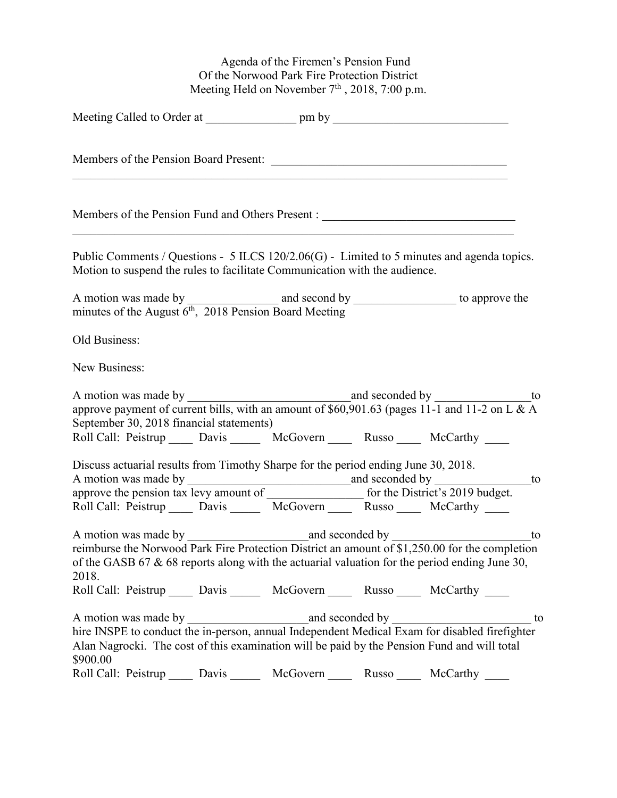Agenda of the Firemen's Pension Fund Of the Norwood Park Fire Protection District Meeting Held on November  $7<sup>th</sup>$ , 2018, 7:00 p.m.

| Members of the Pension Board Present:                                                                                                                                                                                                                                                             |       |          |       |          |    |
|---------------------------------------------------------------------------------------------------------------------------------------------------------------------------------------------------------------------------------------------------------------------------------------------------|-------|----------|-------|----------|----|
| Members of the Pension Fund and Others Present : ________________________________                                                                                                                                                                                                                 |       |          |       |          |    |
| Public Comments / Questions - 5 ILCS 120/2.06(G) - Limited to 5 minutes and agenda topics.<br>Motion to suspend the rules to facilitate Communication with the audience.                                                                                                                          |       |          |       |          |    |
| A motion was made by $\frac{1}{6^{th}$ , 2018 Pension Board Meeting to approve the minutes of the August $6^{th}$ , 2018 Pension Board Meeting                                                                                                                                                    |       |          |       |          |    |
| Old Business:                                                                                                                                                                                                                                                                                     |       |          |       |          |    |
| New Business:                                                                                                                                                                                                                                                                                     |       |          |       |          |    |
|                                                                                                                                                                                                                                                                                                   |       |          |       |          |    |
| September 30, 2018 financial statements)<br>Roll Call: Peistrup ______ Davis _______ McGovern ______ Russo _____ McCarthy ____                                                                                                                                                                    |       |          |       |          |    |
| Discuss actuarial results from Timothy Sharpe for the period ending June 30, 2018.<br>Roll Call: Peistrup ______ Davis _______ McGovern ______ Russo ______ McCarthy _____                                                                                                                        |       |          |       |          |    |
| reimburse the Norwood Park Fire Protection District an amount of $$1,250.00$ for the completion<br>of the GASB 67 & 68 reports along with the actuarial valuation for the period ending June 30,<br>2018.<br>Roll Call: Peistrup ______ Davis _______ McGovern ______ Russo ______ McCarthy _____ |       |          |       |          |    |
| Alan Nagrocki. The cost of this examination will be paid by the Pension Fund and will total<br>\$900.00                                                                                                                                                                                           |       |          |       |          | to |
| Roll Call: Peistrup                                                                                                                                                                                                                                                                               | Davis | McGovern | Russo | McCarthy |    |